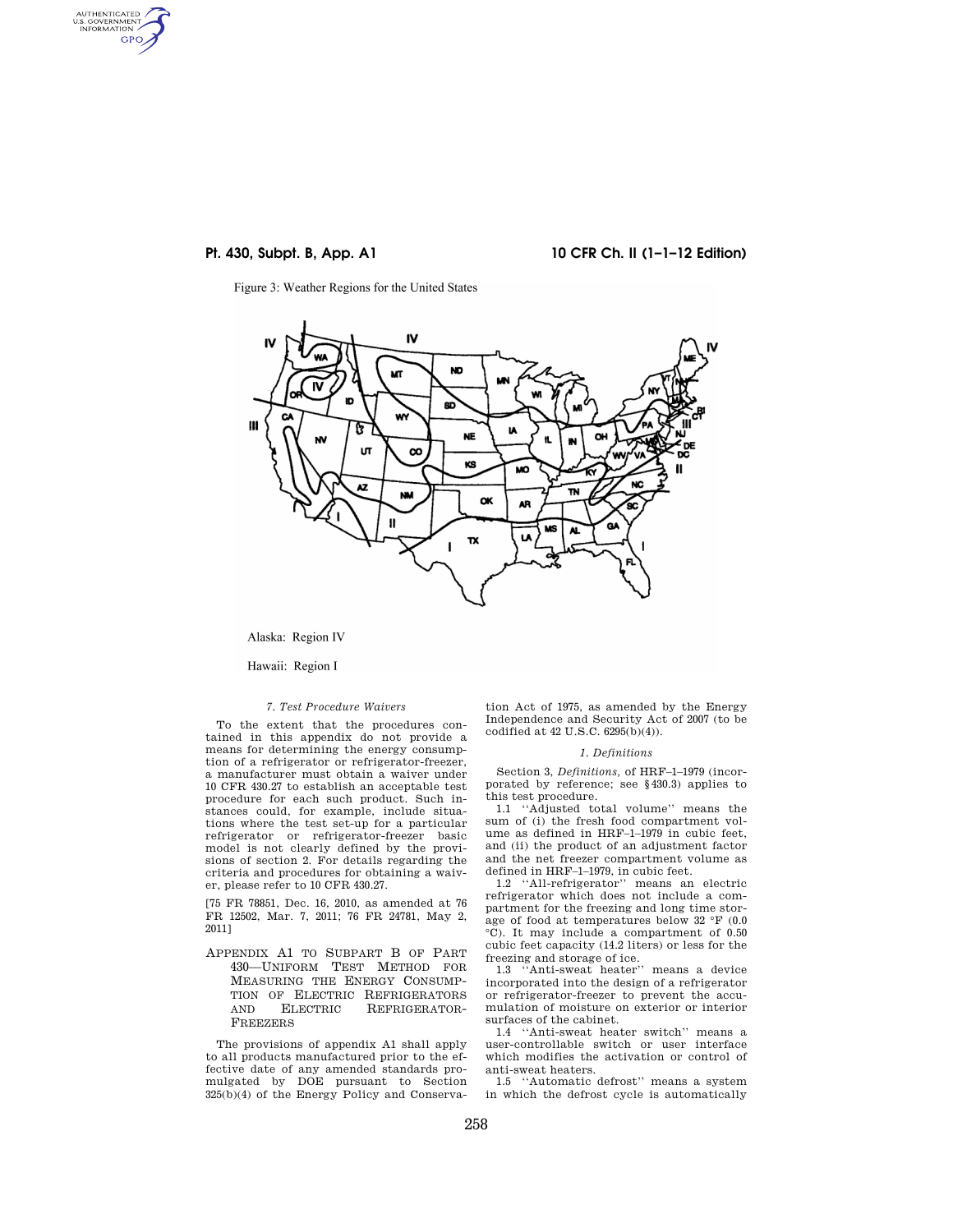AUTHENTICATED<br>U.S. GOVERNMENT<br>INFORMATION GPO

**Pt. 430, Subpt. B, App. A1 10 CFR Ch. II (1–1–12 Edition)** 

Figure 3: Weather Regions for the United States



Alaska: Region IV

Hawaii: Region I

### *7. Test Procedure Waivers*

To the extent that the procedures contained in this appendix do not provide a means for determining the energy consumption of a refrigerator or refrigerator-freezer, a manufacturer must obtain a waiver under 10 CFR 430.27 to establish an acceptable test procedure for each such product. Such instances could, for example, include situations where the test set-up for a particular refrigerator or refrigerator-freezer basic model is not clearly defined by the provisions of section 2. For details regarding the criteria and procedures for obtaining a waiver, please refer to 10 CFR 430.27.

[75 FR 78851, Dec. 16, 2010, as amended at 76 FR 12502, Mar. 7, 2011; 76 FR 24781, May 2, 2011]

APPENDIX A1 TO SUBPART B OF PART 430—UNIFORM TEST METHOD FOR MEASURING THE ENERGY CONSUMP-TION OF ELECTRIC REFRIGERATORS AND ELECTRIC REFRIGERATOR-FREEZERS

The provisions of appendix A1 shall apply to all products manufactured prior to the effective date of any amended standards promulgated by DOE pursuant to Section  $325(b)(4)$  of the Energy Policy and Conserva-

tion Act of 1975, as amended by the Energy Independence and Security Act of 2007 (to be codified at 42 U.S.C. 6295(b)(4)).

### *1. Definitions*

Section 3, *Definitions,* of HRF–1–1979 (incorporated by reference; see §430.3) applies to this test procedure.

1.1 ''Adjusted total volume'' means the sum of (i) the fresh food compartment volume as defined in HRF–1–1979 in cubic feet, and (ii) the product of an adjustment factor and the net freezer compartment volume as defined in HRF–1–1979, in cubic feet.

1.2 ''All-refrigerator'' means an electric refrigerator which does not include a compartment for the freezing and long time storage of food at temperatures below 32 °F (0.0 °C). It may include a compartment of 0.50 cubic feet capacity (14.2 liters) or less for the freezing and storage of ice.

1.3 ''Anti-sweat heater'' means a device incorporated into the design of a refrigerator or refrigerator-freezer to prevent the accumulation of moisture on exterior or interior surfaces of the cabinet.

1.4 ''Anti-sweat heater switch'' means a user-controllable switch or user interface which modifies the activation or control of anti-sweat heaters.

1.5 ''Automatic defrost'' means a system in which the defrost cycle is automatically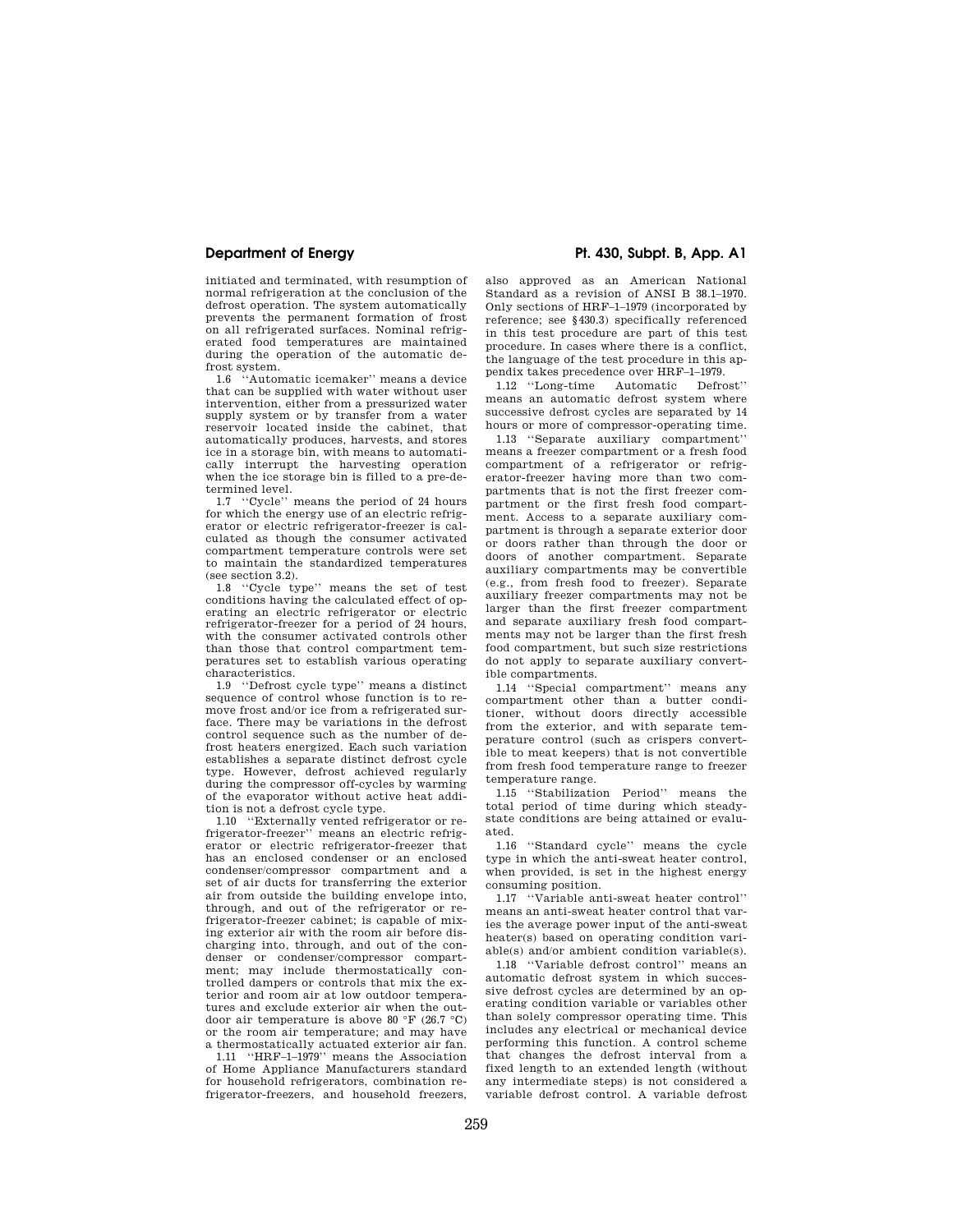initiated and terminated, with resumption of normal refrigeration at the conclusion of the defrost operation. The system automatically prevents the permanent formation of frost on all refrigerated surfaces. Nominal refrigerated food temperatures are maintained during the operation of the automatic defrost system.

1.6 ''Automatic icemaker'' means a device that can be supplied with water without user intervention, either from a pressurized water supply system or by transfer from a water reservoir located inside the cabinet, that automatically produces, harvests, and stores ice in a storage bin, with means to automatically interrupt the harvesting operation when the ice storage bin is filled to a pre-determined level.

1.7 ''Cycle'' means the period of 24 hours for which the energy use of an electric refrigerator or electric refrigerator-freezer is calculated as though the consumer activated compartment temperature controls were set to maintain the standardized temperatures (see section 3.2).<br>1.8  $\text{``Cycle try}$ 

1.8 ''Cycle type'' means the set of test conditions having the calculated effect of operating an electric refrigerator or electric refrigerator-freezer for a period of 24 hours, with the consumer activated controls other than those that control compartment temperatures set to establish various operating characteristics.

1.9 ''Defrost cycle type'' means a distinct sequence of control whose function is to remove frost and/or ice from a refrigerated surface. There may be variations in the defrost control sequence such as the number of defrost heaters energized. Each such variation establishes a separate distinct defrost cycle type. However, defrost achieved regularly during the compressor off-cycles by warming of the evaporator without active heat addition is not a defrost cycle type.

1.10 ''Externally vented refrigerator or refrigerator-freezer'' means an electric refrigerator or electric refrigerator-freezer that has an enclosed condenser or an enclosed condenser/compressor compartment and a set of air ducts for transferring the exterior air from outside the building envelope into, through, and out of the refrigerator or refrigerator-freezer cabinet; is capable of mixing exterior air with the room air before discharging into, through, and out of the condenser or condenser/compressor compartment; may include thermostatically controlled dampers or controls that mix the exterior and room air at low outdoor temperatures and exclude exterior air when the outdoor air temperature is above 80 °F (26.7 °C) or the room air temperature; and may have a thermostatically actuated exterior air fan.

1.11 ''HRF–1–1979'' means the Association of Home Appliance Manufacturers standard for household refrigerators, combination refrigerator-freezers, and household freezers,

**Department of Energy Pt. 430, Subpt. B, App. A1** 

also approved as an American National Standard as a revision of ANSI B 38.1–1970. Only sections of HRF–1–1979 (incorporated by reference; see §430.3) specifically referenced in this test procedure are part of this test procedure. In cases where there is a conflict, the language of the test procedure in this appendix takes precedence over HRF-1-1979.<br>1.12 "Long-time Automatic Defrost"

1.12 "Long-time Automatic means an automatic defrost system where successive defrost cycles are separated by 14 hours or more of compressor-operating time.

1.13 ''Separate auxiliary compartment'' means a freezer compartment or a fresh food compartment of a refrigerator or refrigerator-freezer having more than two compartments that is not the first freezer compartment or the first fresh food compartment. Access to a separate auxiliary compartment is through a separate exterior door or doors rather than through the door or doors of another compartment. Separate auxiliary compartments may be convertible (e.g., from fresh food to freezer). Separate auxiliary freezer compartments may not be larger than the first freezer compartment and separate auxiliary fresh food compartments may not be larger than the first fresh food compartment, but such size restrictions do not apply to separate auxiliary convertible compartments.

1.14 ''Special compartment'' means any compartment other than a butter conditioner, without doors directly accessible from the exterior, and with separate temperature control (such as crispers convertible to meat keepers) that is not convertible from fresh food temperature range to freezer temperature range.

1.15 ''Stabilization Period'' means the total period of time during which steadystate conditions are being attained or evaluated.

1.16 ''Standard cycle'' means the cycle type in which the anti-sweat heater control, when provided, is set in the highest energy consuming position.

1.17 ''Variable anti-sweat heater control'' means an anti-sweat heater control that varies the average power input of the anti-sweat heater(s) based on operating condition variable(s) and/or ambient condition variable(s).

1.18 ''Variable defrost control'' means an automatic defrost system in which successive defrost cycles are determined by an operating condition variable or variables other than solely compressor operating time. This includes any electrical or mechanical device performing this function. A control scheme that changes the defrost interval from a fixed length to an extended length (without any intermediate steps) is not considered a variable defrost control. A variable defrost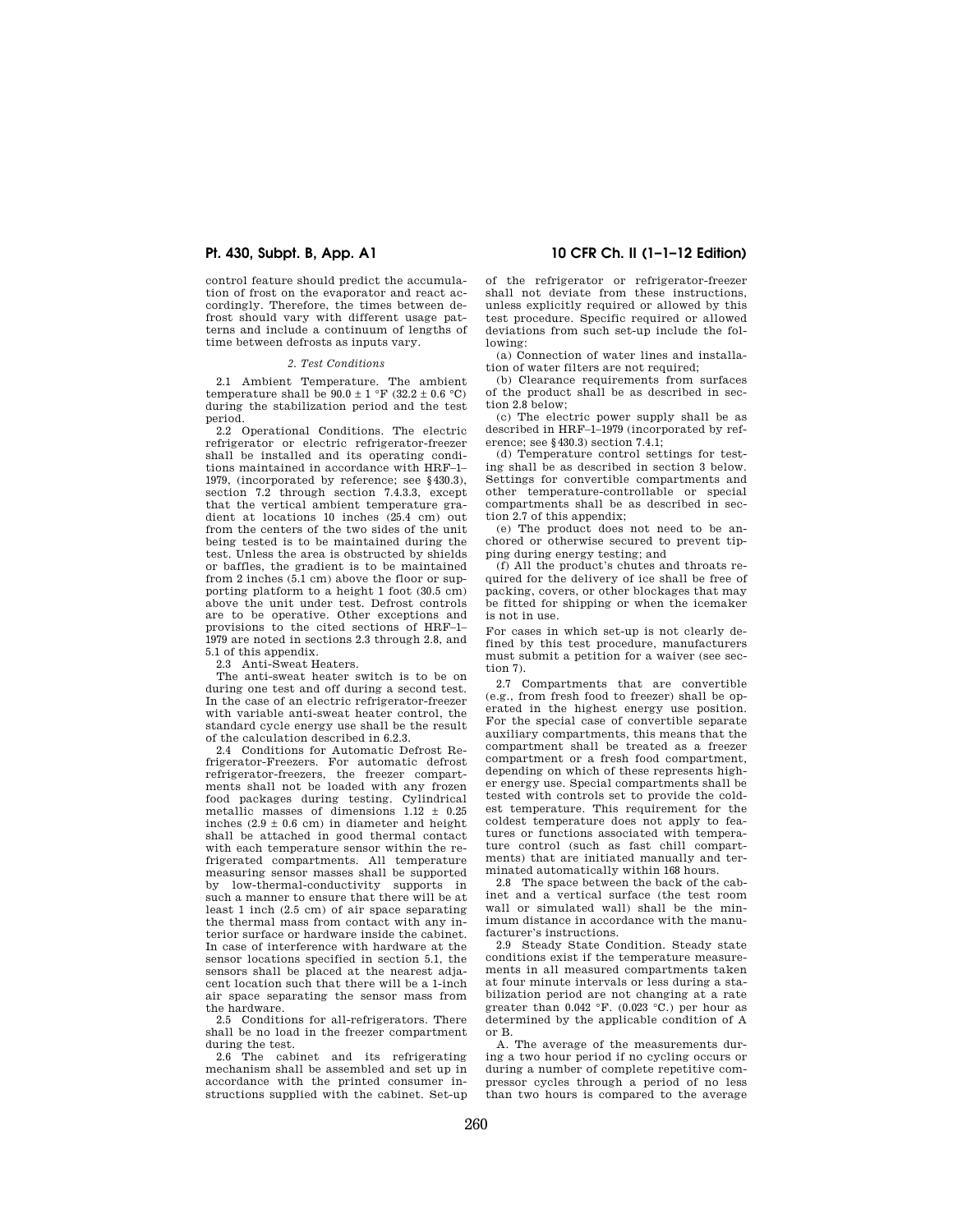control feature should predict the accumulation of frost on the evaporator and react accordingly. Therefore, the times between defrost should vary with different usage patterns and include a continuum of lengths of time between defrosts as inputs vary.

### *2. Test Conditions*

2.1 Ambient Temperature. The ambient temperature shall be  $90.0 \pm 1$  °F (32.2  $\pm$  0.6 °C) during the stabilization period and the test period.

2.2 Operational Conditions. The electric refrigerator or electric refrigerator-freezer shall be installed and its operating conditions maintained in accordance with HRF–1– 1979, (incorporated by reference; see §430.3), section 7.2 through section 7.4.3.3, except that the vertical ambient temperature gradient at locations 10 inches (25.4 cm) out from the centers of the two sides of the unit being tested is to be maintained during the test. Unless the area is obstructed by shields or baffles, the gradient is to be maintained from 2 inches (5.1 cm) above the floor or supporting platform to a height 1 foot (30.5 cm) above the unit under test. Defrost controls are to be operative. Other exceptions and provisions to the cited sections of HRF–1– 1979 are noted in sections 2.3 through 2.8, and 5.1 of this appendix.

2.3 Anti-Sweat Heaters.

The anti-sweat heater switch is to be on during one test and off during a second test. In the case of an electric refrigerator-freezer with variable anti-sweat heater control, the standard cycle energy use shall be the result of the calculation described in 6.2.3.

2.4 Conditions for Automatic Defrost Refrigerator-Freezers. For automatic defrost refrigerator-freezers, the freezer compartments shall not be loaded with any frozen food packages during testing. Cylindrical metallic masses of dimensions 1.12 ± 0.25 inches  $(2.9 \pm 0.6 \text{ cm})$  in diameter and height shall be attached in good thermal contact with each temperature sensor within the refrigerated compartments. All temperature measuring sensor masses shall be supported by low-thermal-conductivity supports in such a manner to ensure that there will be at least 1 inch (2.5 cm) of air space separating the thermal mass from contact with any interior surface or hardware inside the cabinet. In case of interference with hardware at the sensor locations specified in section 5.1, the sensors shall be placed at the nearest adjacent location such that there will be a 1-inch air space separating the sensor mass from the hardware.

2.5 Conditions for all-refrigerators. There shall be no load in the freezer compartment

during the test. 2.6 The cabinet and its refrigerating mechanism shall be assembled and set up in accordance with the printed consumer instructions supplied with the cabinet. Set-up

**Pt. 430, Subpt. B, App. A1 10 CFR Ch. II (1–1–12 Edition)** 

of the refrigerator or refrigerator-freezer shall not deviate from these instructions, unless explicitly required or allowed by this test procedure. Specific required or allowed deviations from such set-up include the following:

(a) Connection of water lines and installation of water filters are not required;

(b) Clearance requirements from surfaces of the product shall be as described in section 2.8 below;

(c) The electric power supply shall be as described in HRF–1–1979 (incorporated by reference; see §430.3) section 7.4.1;

(d) Temperature control settings for testing shall be as described in section 3 below. Settings for convertible compartments and other temperature-controllable or special compartments shall be as described in section 2.7 of this appendix;

(e) The product does not need to be anchored or otherwise secured to prevent tipping during energy testing; and

(f) All the product's chutes and throats required for the delivery of ice shall be free of packing, covers, or other blockages that may be fitted for shipping or when the icemaker is not in use.

For cases in which set-up is not clearly defined by this test procedure, manufacturers must submit a petition for a waiver (see section 7).

2.7 Compartments that are convertible (e.g., from fresh food to freezer) shall be operated in the highest energy use position. For the special case of convertible separate auxiliary compartments, this means that the compartment shall be treated as a freezer compartment or a fresh food compartment, depending on which of these represents higher energy use. Special compartments shall be tested with controls set to provide the coldest temperature. This requirement for the coldest temperature does not apply to features or functions associated with temperature control (such as fast chill compartments) that are initiated manually and terminated automatically within 168 hours.

2.8 The space between the back of the cabinet and a vertical surface (the test room wall or simulated wall) shall be the minimum distance in accordance with the manufacturer's instructions.

2.9 Steady State Condition. Steady state conditions exist if the temperature measurements in all measured compartments taken at four minute intervals or less during a stabilization period are not changing at a rate greater than  $0.042 \text{ }^{\circ}\text{F}$ .  $(0.023 \text{ }^{\circ}\text{C})$  per hour as determined by the applicable condition of A or B.

A. The average of the measurements during a two hour period if no cycling occurs or during a number of complete repetitive compressor cycles through a period of no less than two hours is compared to the average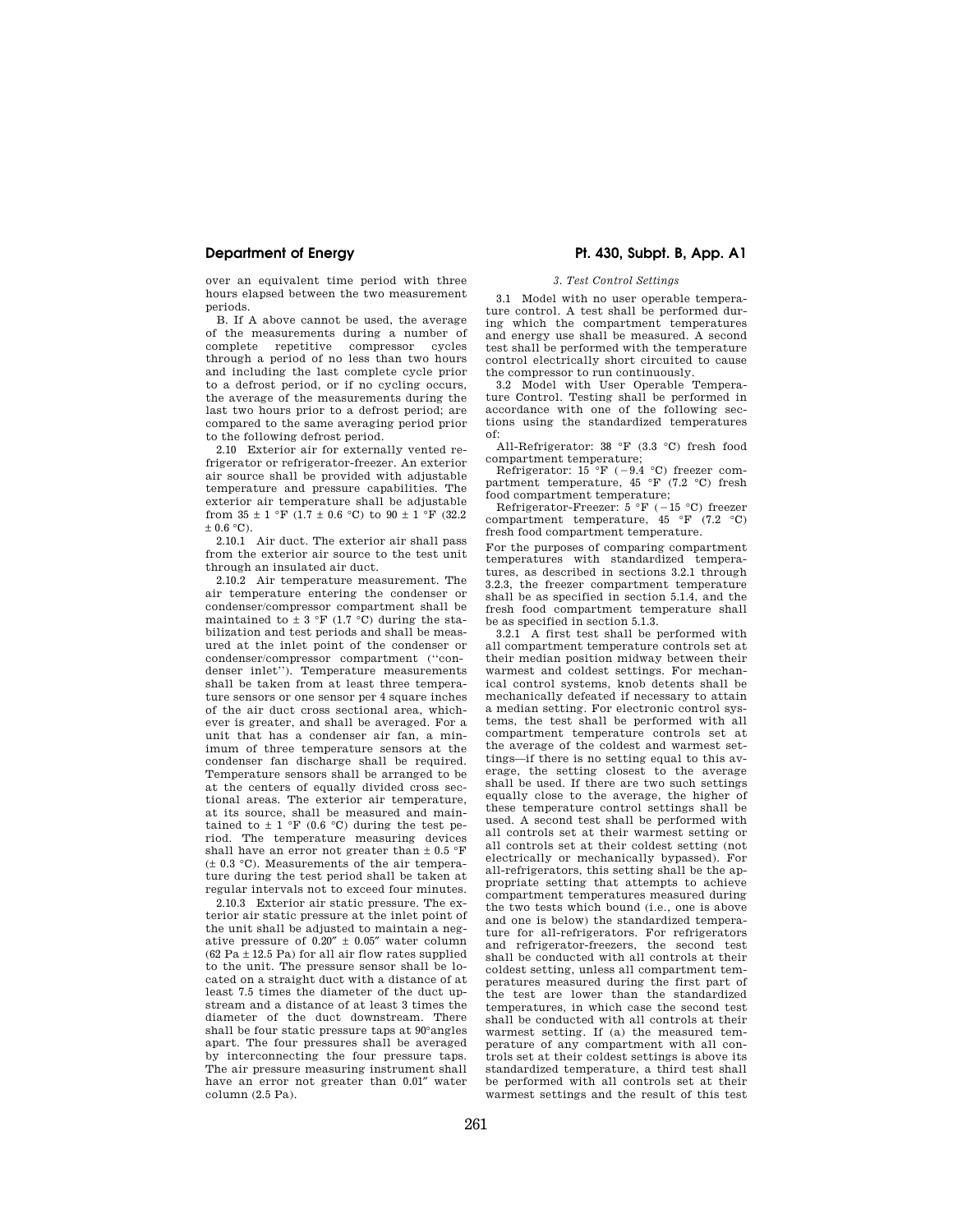over an equivalent time period with three hours elapsed between the two measurement periods.

B. If A above cannot be used, the average of the measurements during a number of complete repetitive compressor cycles through a period of no less than two hours and including the last complete cycle prior to a defrost period, or if no cycling occurs, the average of the measurements during the last two hours prior to a defrost period; are compared to the same averaging period prior to the following defrost period.

2.10 Exterior air for externally vented refrigerator or refrigerator-freezer. An exterior air source shall be provided with adjustable temperature and pressure capabilities. The exterior air temperature shall be adjustable from  $35 \pm 1$  °F (1.7  $\pm$  0.6 °C) to  $90 \pm 1$  °F (32.2)  $\pm$  0.6  $^{\circ} \mathrm{C}$  ).

2.10.1 Air duct. The exterior air shall pass from the exterior air source to the test unit through an insulated air duct.

2.10.2 Air temperature measurement. The air temperature entering the condenser or condenser/compressor compartment shall be maintained to  $\pm$  3 °F (1.7 °C) during the stabilization and test periods and shall be measured at the inlet point of the condenser or condenser/compressor compartment (''condenser inlet''). Temperature measurements shall be taken from at least three temperature sensors or one sensor per 4 square inches of the air duct cross sectional area, whichever is greater, and shall be averaged. For a unit that has a condenser air fan, a minimum of three temperature sensors at the condenser fan discharge shall be required. Temperature sensors shall be arranged to be at the centers of equally divided cross sectional areas. The exterior air temperature, at its source, shall be measured and maintained to  $\pm$  1 °F (0.6 °C) during the test period. The temperature measuring devices shall have an error not greater than  $\pm$  0.5 °F  $(± 0.3 °C)$ . Measurements of the air temperature during the test period shall be taken at regular intervals not to exceed four minutes.

2.10.3 Exterior air static pressure. The exterior air static pressure at the inlet point of the unit shall be adjusted to maintain a negative pressure of  $0.20'' \pm 0.05''$  water column  $(62 \text{ Pa} \pm 12.5 \text{ Pa})$  for all air flow rates supplied to the unit. The pressure sensor shall be located on a straight duct with a distance of at least 7.5 times the diameter of the duct upstream and a distance of at least 3 times the diameter of the duct downstream. There shall be four static pressure taps at 90°angles apart. The four pressures shall be averaged by interconnecting the four pressure taps. The air pressure measuring instrument shall have an error not greater than 0.01″ water  $\text{column} (2.5 \text{ Pa})$ .

# **Department of Energy Pt. 430, Subpt. B, App. A1**

## *3. Test Control Settings*

3.1 Model with no user operable temperature control. A test shall be performed during which the compartment temperatures and energy use shall be measured. A second test shall be performed with the temperature control electrically short circuited to cause the compressor to run continuously. 3.2 Model with User Operable Tempera-

ture Control. Testing shall be performed in accordance with one of the following sections using the standardized temperatures of:

All-Refrigerator: 38 °F (3.3 °C) fresh food compartment temperature;

Refrigerator: 15 °F (-9.4 °C) freezer compartment temperature, 45 °F (7.2 °C) fresh food compartment temperature;

Refrigerator-Freezer:  $5 \text{ }^{\circ}$ F ( $-15 \text{ }^{\circ}$ C) freezer compartment temperature, 45 °F (7.2 °C) fresh food compartment temperature.

For the purposes of comparing compartment temperatures with standardized temperatures, as described in sections 3.2.1 through 3.2.3, the freezer compartment temperature shall be as specified in section 5.1.4, and the fresh food compartment temperature shall be as specified in section 5.1.3.

3.2.1 A first test shall be performed with all compartment temperature controls set at their median position midway between their warmest and coldest settings. For mechanical control systems, knob detents shall be mechanically defeated if necessary to attain a median setting. For electronic control systems, the test shall be performed with all compartment temperature controls set at the average of the coldest and warmest settings—if there is no setting equal to this average, the setting closest to the average shall be used. If there are two such settings equally close to the average, the higher of these temperature control settings shall be used. A second test shall be performed with all controls set at their warmest setting or all controls set at their coldest setting (not electrically or mechanically bypassed). For all-refrigerators, this setting shall be the appropriate setting that attempts to achieve compartment temperatures measured during the two tests which bound (i.e., one is above and one is below) the standardized temperature for all-refrigerators. For refrigerators and refrigerator-freezers, the second test shall be conducted with all controls at their coldest setting, unless all compartment temperatures measured during the first part of the test are lower than the standardized temperatures, in which case the second test shall be conducted with all controls at their warmest setting. If (a) the measured temperature of any compartment with all controls set at their coldest settings is above its standardized temperature, a third test shall be performed with all controls set at their warmest settings and the result of this test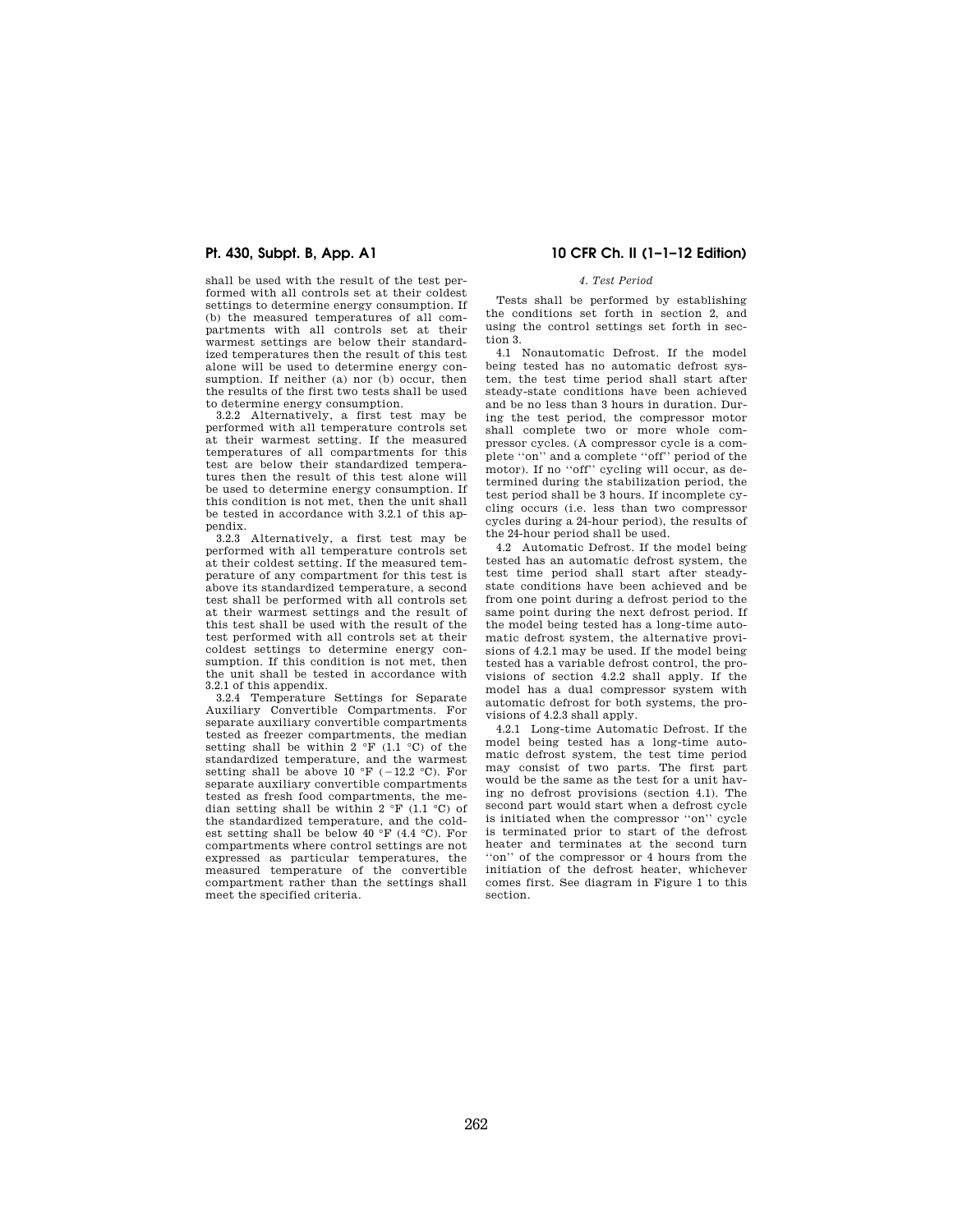shall be used with the result of the test performed with all controls set at their coldest settings to determine energy consumption. If (b) the measured temperatures of all compartments with all controls set at their warmest settings are below their standardized temperatures then the result of this test alone will be used to determine energy consumption. If neither (a) nor (b) occur, then the results of the first two tests shall be used to determine energy consumption.

3.2.2 Alternatively, a first test may be performed with all temperature controls set at their warmest setting. If the measured temperatures of all compartments for this test are below their standardized temperatures then the result of this test alone will be used to determine energy consumption. If this condition is not met, then the unit shall be tested in accordance with 3.2.1 of this appendix.

3.2.3 Alternatively, a first test may be performed with all temperature controls set at their coldest setting. If the measured temperature of any compartment for this test is above its standardized temperature, a second test shall be performed with all controls set at their warmest settings and the result of this test shall be used with the result of the test performed with all controls set at their coldest settings to determine energy consumption. If this condition is not met, then the unit shall be tested in accordance with 3.2.1 of this appendix.

3.2.4 Temperature Settings for Separate Auxiliary Convertible Compartments. For separate auxiliary convertible compartments tested as freezer compartments, the median setting shall be within  $2 \text{ }^{\circ}F$  (1.1  $\text{ }^{\circ}C$ ) of the standardized temperature, and the warmest setting shall be above  $10^{\circ}$ F (-12.2 °C). For separate auxiliary convertible compartments tested as fresh food compartments, the median setting shall be within 2  $\rm{°F}$  (1.1  $\rm{°C}$ ) of the standardized temperature, and the coldest setting shall be below 40 °F (4.4 °C). For compartments where control settings are not expressed as particular temperatures, the measured temperature of the convertible compartment rather than the settings shall meet the specified criteria.

# **Pt. 430, Subpt. B, App. A1 10 CFR Ch. II (1–1–12 Edition)**

## *4. Test Period*

Tests shall be performed by establishing the conditions set forth in section 2, and using the control settings set forth in section 3.

4.1 Nonautomatic Defrost. If the model being tested has no automatic defrost system, the test time period shall start after steady-state conditions have been achieved and be no less than 3 hours in duration. During the test period, the compressor motor shall complete two or more whole compressor cycles. (A compressor cycle is a complete ''on'' and a complete ''off'' period of the motor). If no ''off'' cycling will occur, as determined during the stabilization period, the test period shall be 3 hours. If incomplete cycling occurs (i.e. less than two compressor cycles during a 24-hour period), the results of the 24-hour period shall be used.

4.2 Automatic Defrost. If the model being tested has an automatic defrost system, the test time period shall start after steadystate conditions have been achieved and be from one point during a defrost period to the same point during the next defrost period. If the model being tested has a long-time automatic defrost system, the alternative provisions of 4.2.1 may be used. If the model being tested has a variable defrost control, the provisions of section 4.2.2 shall apply. If the model has a dual compressor system with automatic defrost for both systems, the provisions of 4.2.3 shall apply.

4.2.1 Long-time Automatic Defrost. If the model being tested has a long-time automatic defrost system, the test time period may consist of two parts. The first part would be the same as the test for a unit having no defrost provisions (section 4.1). The second part would start when a defrost cycle is initiated when the compressor ''on'' cycle is terminated prior to start of the defrost heater and terminates at the second turn "on" of the compressor or 4 hours from the initiation of the defrost heater, whichever comes first. See diagram in Figure 1 to this section.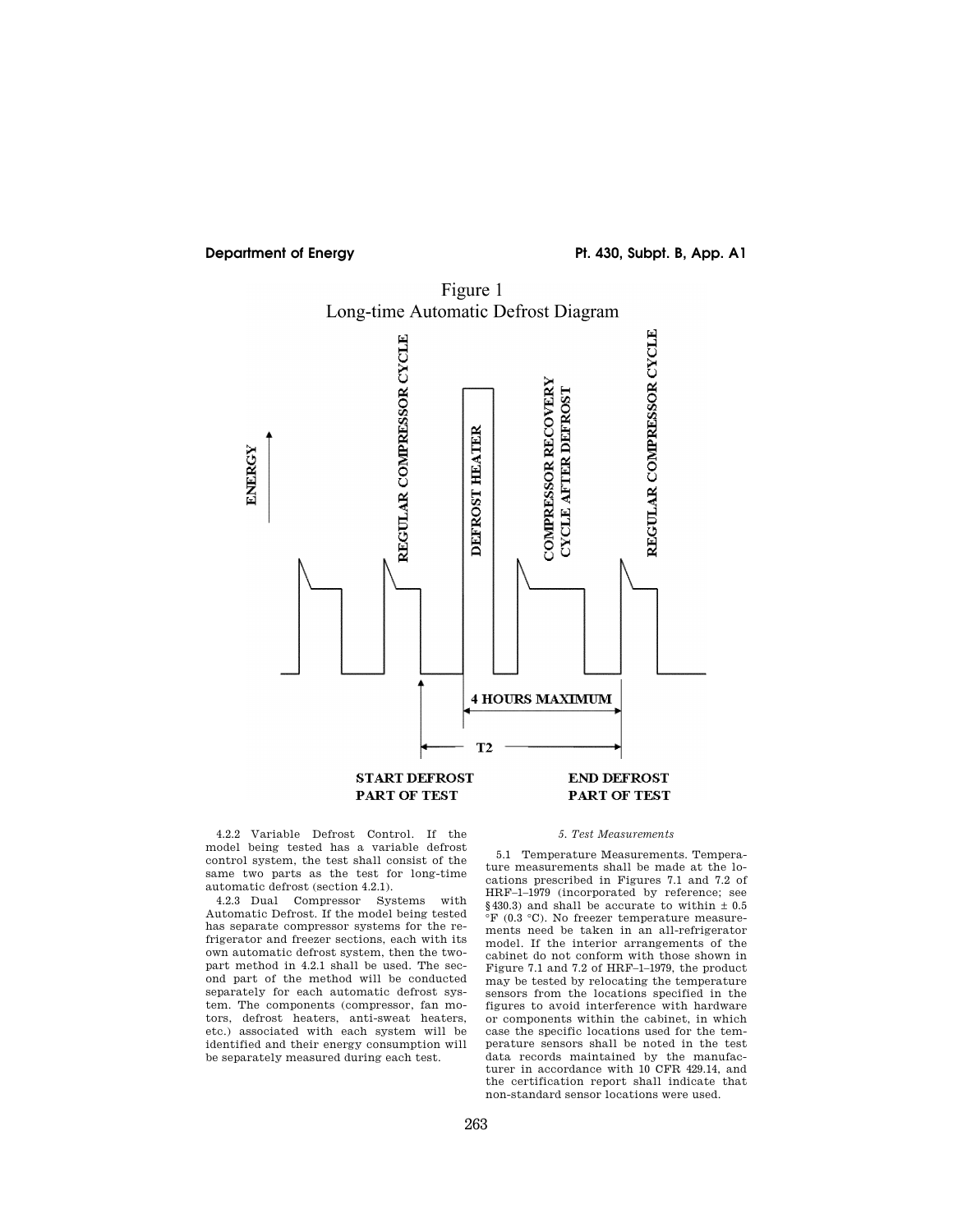# **Department of Energy**  Pt. 430, Subpt. B, App. A1

Long-time Automatic Defrost Diagram REGULAR COMPRESSOR CYCLE REGULAR COMPRESSOR CYCLE COMPRESSOR RECOVERY **CYCLE AFTER DEFROST** DEFROST HEATER ENERGY **4 HOURS MAXIMUM**  $T2$ **START DEFROST END DEFROST** PART OF TEST PART OF TEST

Figure 1

4.2.2 Variable Defrost Control. If the model being tested has a variable defrost control system, the test shall consist of the same two parts as the test for long-time automatic defrost (section 4.2.1).

4.2.3 Dual Compressor Systems with Automatic Defrost. If the model being tested has separate compressor systems for the refrigerator and freezer sections, each with its own automatic defrost system, then the twopart method in 4.2.1 shall be used. The second part of the method will be conducted separately for each automatic defrost system. The components (compressor, fan motors, defrost heaters, anti-sweat heaters, etc.) associated with each system will be identified and their energy consumption will be separately measured during each test.

### *5. Test Measurements*

5.1 Temperature Measurements. Temperature measurements shall be made at the locations prescribed in Figures 7.1 and 7.2 of HRF–1–1979 (incorporated by reference; see  $§$ 430.3) and shall be accurate to within  $\pm$  0.5 °F (0.3 °C). No freezer temperature measurements need be taken in an all-refrigerator model. If the interior arrangements of the cabinet do not conform with those shown in Figure 7.1 and 7.2 of HRF–1–1979, the product may be tested by relocating the temperature sensors from the locations specified in the figures to avoid interference with hardware or components within the cabinet, in which case the specific locations used for the temperature sensors shall be noted in the test data records maintained by the manufacturer in accordance with 10 CFR 429.14, and the certification report shall indicate that non-standard sensor locations were used.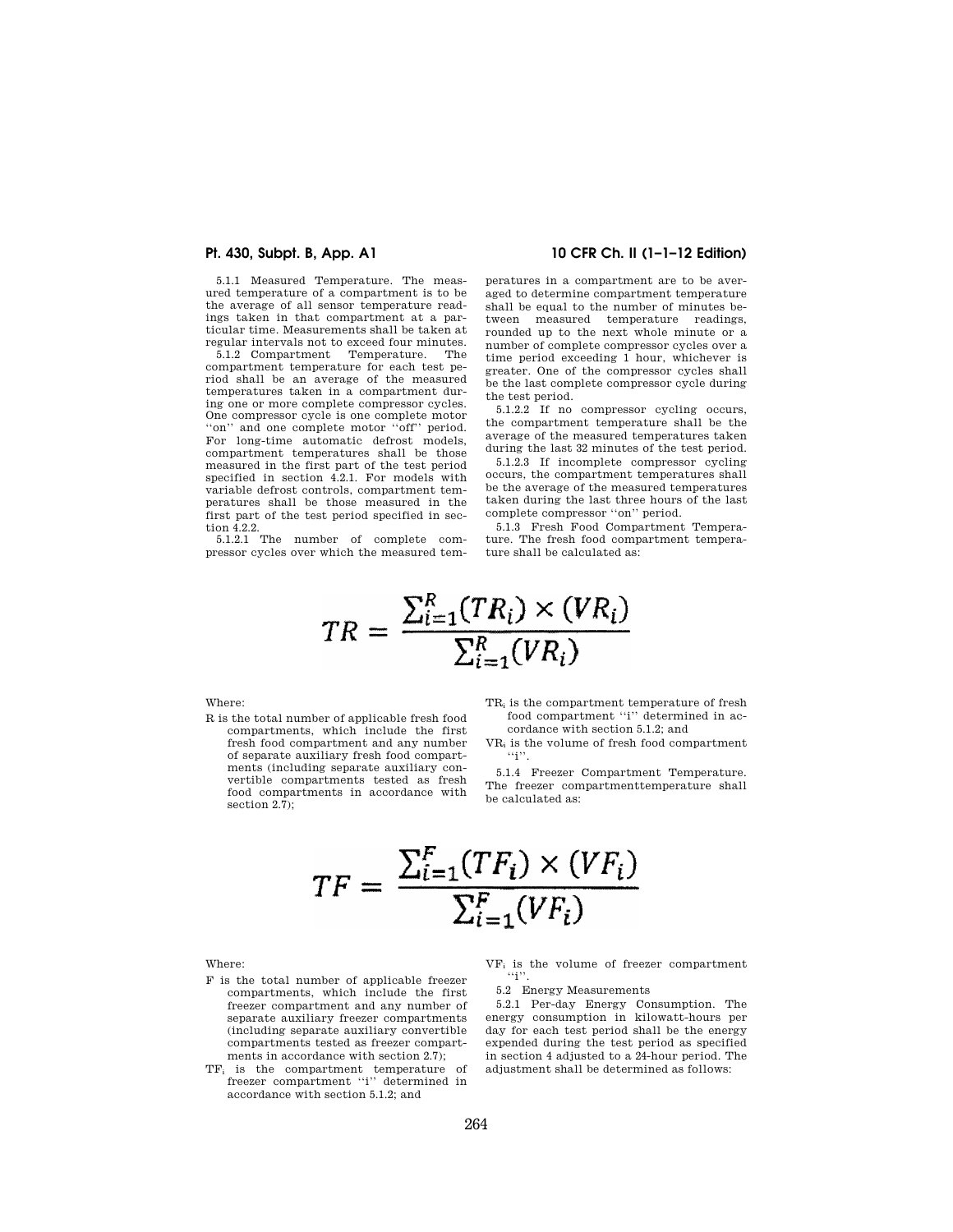5.1.1 Measured Temperature. The measured temperature of a compartment is to be the average of all sensor temperature readings taken in that compartment at a particular time. Measurements shall be taken at regular intervals not to exceed four minutes.

5.1.2 Compartment Temperature. The compartment temperature for each test period shall be an average of the measured temperatures taken in a compartment during one or more complete compressor cycles. One compressor cycle is one complete motor "on" and one complete motor "off" period. For long-time automatic defrost models, compartment temperatures shall be those measured in the first part of the test period specified in section 4.2.1. For models with variable defrost controls, compartment temperatures shall be those measured in the first part of the test period specified in section 4.2.2.

5.1.2.1 The number of complete compressor cycles over which the measured tem-

## **Pt. 430, Subpt. B, App. A1 10 CFR Ch. II (1–1–12 Edition)**

peratures in a compartment are to be averaged to determine compartment temperature shall be equal to the number of minutes between measured temperature readings, rounded up to the next whole minute or a number of complete compressor cycles over a time period exceeding 1 hour, whichever is greater. One of the compressor cycles shall be the last complete compressor cycle during the test period.

5.1.2.2 If no compressor cycling occurs, the compartment temperature shall be the average of the measured temperatures taken during the last 32 minutes of the test period.

5.1.2.3 If incomplete compressor cycling occurs, the compartment temperatures shall be the average of the measured temperatures taken during the last three hours of the last complete compressor ''on'' period.

5.1.3 Fresh Food Compartment Temperature. The fresh food compartment temperature shall be calculated as:

$$
TR = \frac{\sum_{i=1}^{R} (TR_i) \times (VR_i)}{\sum_{i=1}^{R} (VR_i)}
$$

# Where:

- R is the total number of applicable fresh food compartments, which include the first fresh food compartment and any number of separate auxiliary fresh food compartments (including separate auxiliary convertible compartments tested as fresh food compartments in accordance with section 2.7);
- TR<sup>i</sup> is the compartment temperature of fresh food compartment "i" determined in accordance with section 5.1.2; and
- VR<sup>i</sup> is the volume of fresh food compartment  $\cdots$  i''.

5.1.4 Freezer Compartment Temperature. The freezer compartmenttemperature shall be calculated as:

$$
TF = \frac{\sum_{i=1}^{F} (TF_i) \times (VF_i)}{\sum_{i=1}^{F} (VF_i)}
$$

Where:

- F is the total number of applicable freezer compartments, which include the first freezer compartment and any number of separate auxiliary freezer compartments (including separate auxiliary convertible compartments tested as freezer compartments in accordance with section 2.7);
- TF<sup>i</sup> is the compartment temperature of freezer compartment ''i'' determined in accordance with section 5.1.2; and

VF<sup>i</sup> is the volume of freezer compartment  $\lq\lq i$ ''.

5.2 Energy Measurements

5.2.1 Per-day Energy Consumption. The energy consumption in kilowatt-hours per day for each test period shall be the energy expended during the test period as specified in section 4 adjusted to a 24-hour period. The adjustment shall be determined as follows: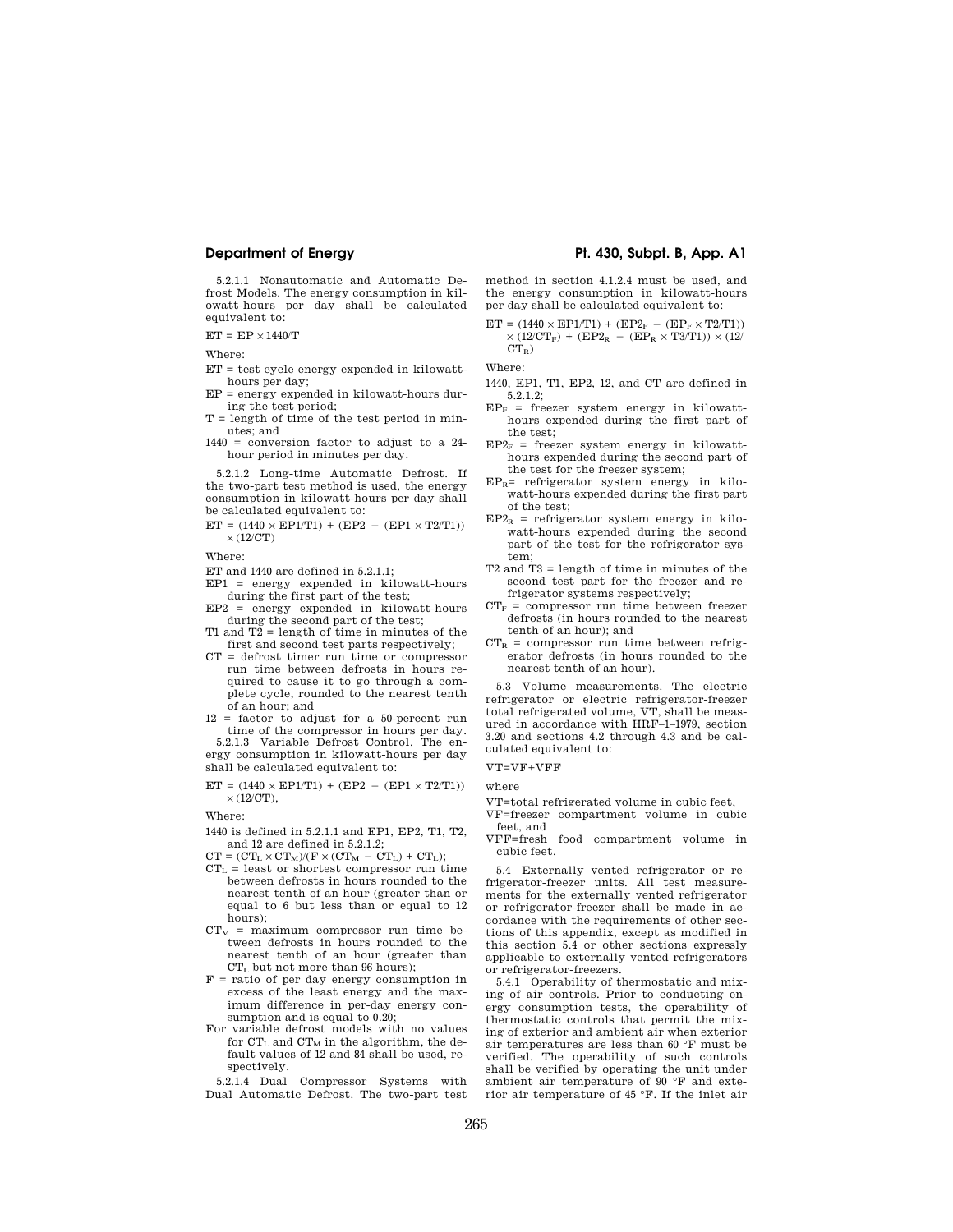**Department of Energy Pt. 430, Subpt. B, App. A1** 

5.2.1.1 Nonautomatic and Automatic Defrost Models. The energy consumption in kilowatt-hours per day shall be calculated equivalent to:

 $ET = EP \times 1440/T$ 

Where:

- ET = test cycle energy expended in kilowatthours per day;
- EP = energy expended in kilowatt-hours during the test period;
- T = length of time of the test period in minutes; and
- 1440 = conversion factor to adjust to a 24 hour period in minutes per day.

5.2.1.2 Long-time Automatic Defrost. If the two-part test method is used, the energy consumption in kilowatt-hours per day shall be calculated equivalent to:

 $ET = (1440 \times EP1/T1) + (EP2 - (EP1 \times T2/T1))$  $\times$  (12/CT)

Where:

- ET and 1440 are defined in 5.2.1.1;
- EP1 = energy expended in kilowatt-hours
- during the first part of the test; EP2 = energy expended in kilowatt-hours during the second part of the test;
- T1 and T2 = length of time in minutes of the first and second test parts respectively;
- CT = defrost timer run time or compressor run time between defrosts in hours required to cause it to go through a complete cycle, rounded to the nearest tenth of an hour; and
- 12 = factor to adjust for a 50-percent run time of the compressor in hours per day. 5.2.1.3 Variable Defrost Control. The en-
- ergy consumption in kilowatt-hours per day shall be calculated equivalent to:

$$
\begin{array}{l} \mathrm{ET}=(1440\times\mathrm{EP1/T1})+(\mathrm{EP2}\,-\,(\mathrm{EP1}\times\mathrm{T2/T1}))\\ \times(12/\mathrm{CT}), \end{array}
$$

Where:

- 1440 is defined in 5.2.1.1 and EP1, EP2, T1, T2, and 12 are defined in 5.2.1.2;
- $\label{eq:CT} \text{CT} = (\text{CT}_{\text{L}} \times \text{CT}_{\text{M}}) / (\text{F} \times (\text{CT}_{\text{M}} \, \, \text{CT}_{\text{L}}) + \, \text{CT}_{\text{L}});$
- $CT<sub>L</sub>$  = least or shortest compressor run time between defrosts in hours rounded to the nearest tenth of an hour (greater than or equal to 6 but less than or equal to 12 hours);
- $CT_M$  = maximum compressor run time between defrosts in hours rounded to the nearest tenth of an hour (greater than CT<sup>L</sup> but not more than 96 hours);
- F = ratio of per day energy consumption in excess of the least energy and the maximum difference in per-day energy consumption and is equal to 0.20;
- For variable defrost models with no values for  $CT_L$  and  $CT_M$  in the algorithm, the default values of 12 and 84 shall be used, respectively.

5.2.1.4 Dual Compressor Systems with Dual Automatic Defrost. The two-part test

method in section 4.1.2.4 must be used, and the energy consumption in kilowatt-hours per day shall be calculated equivalent to:

$$
\begin{array}{l} \rm{ET}=(1440\times EP1/T1) \,+\, (EP2_F \,-\, (EP_F \times T2/T1)) \\ \times \,(12/CT_F) \,+\, (EP2_R \,-\, (EP_R \times T3/T1)) \times (12/ \, \, CT_R) \end{array}
$$

Where:

- 1440, EP1, T1, EP2, 12, and CT are defined in 5.2.1.2;
- $EP<sub>F</sub>$  = freezer system energy in kilowatthours expended during the first part of the test;
- $EP2<sub>F</sub>$  = freezer system energy in kilowatthours expended during the second part of the test for the freezer system;
- $EP_R$ = refrigerator system energy in kilowatt-hours expended during the first part of the test;
- $EP2_R$  = refrigerator system energy in kilowatt-hours expended during the second part of the test for the refrigerator system;
- T2 and T3 = length of time in minutes of the second test part for the freezer and refrigerator systems respectively;
- $CT_F$  = compressor run time between freezer defrosts (in hours rounded to the nearest tenth of an hour); and
- $CT_R$  = compressor run time between refrigerator defrosts (in hours rounded to the nearest tenth of an hour).

5.3 Volume measurements. The electric refrigerator or electric refrigerator-freezer total refrigerated volume, VT, shall be measured in accordance with HRF–1–1979, section 3.20 and sections 4.2 through 4.3 and be calculated equivalent to:

## VT=VF+VFF

where

VT=total refrigerated volume in cubic feet, VF=freezer compartment volume in cubic

feet, and

VFF=fresh food compartment volume in cubic feet.

5.4 Externally vented refrigerator or refrigerator-freezer units. All test measurements for the externally vented refrigerator or refrigerator-freezer shall be made in accordance with the requirements of other sections of this appendix, except as modified in this section 5.4 or other sections expressly applicable to externally vented refrigerators or refrigerator-freezers.

5.4.1 Operability of thermostatic and mixing of air controls. Prior to conducting energy consumption tests, the operability of thermostatic controls that permit the mixing of exterior and ambient air when exterior air temperatures are less than 60 °F must be verified. The operability of such controls shall be verified by operating the unit under ambient air temperature of 90 °F and exterior air temperature of 45 °F. If the inlet air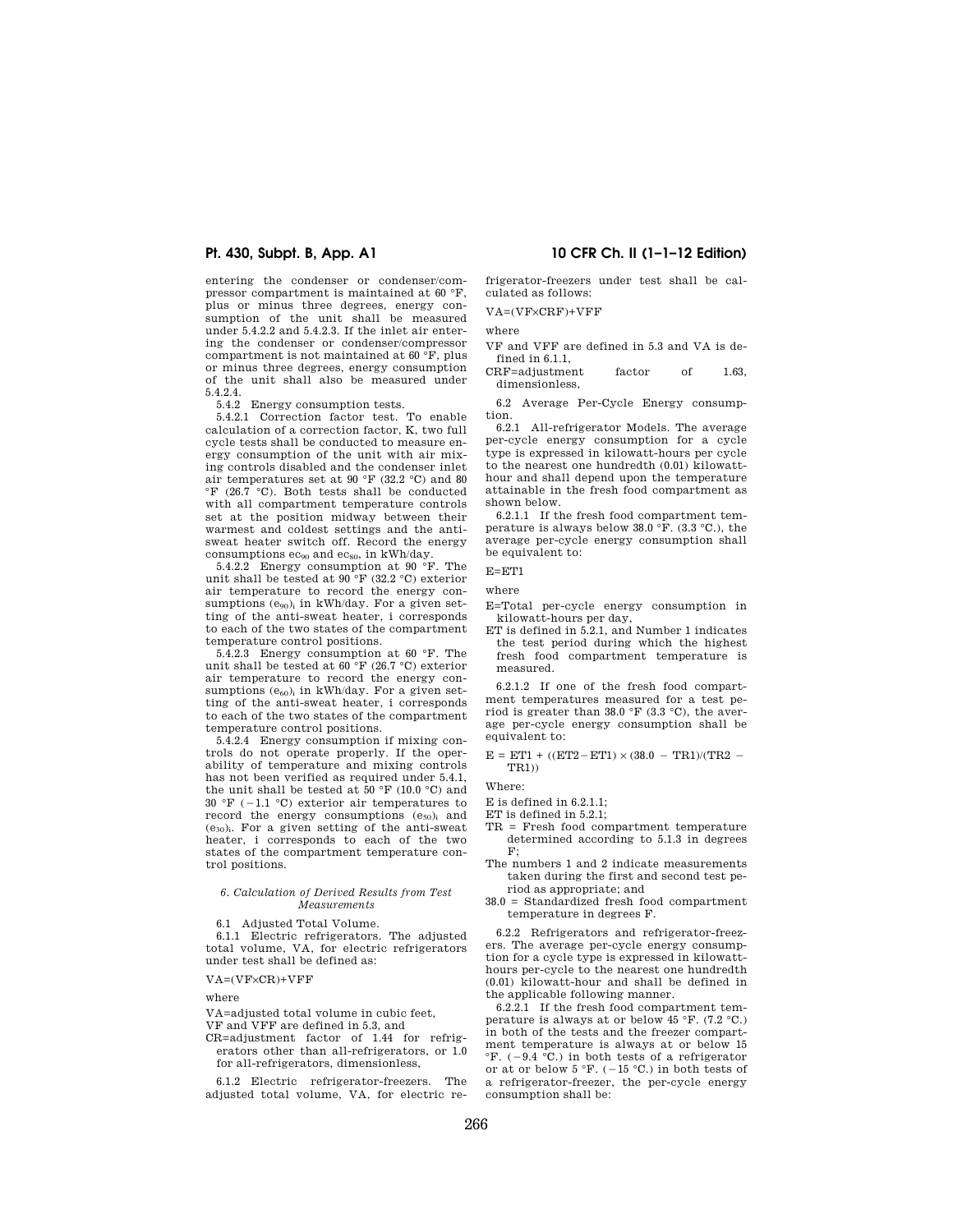entering the condenser or condenser/compressor compartment is maintained at 60 °F, plus or minus three degrees, energy consumption of the unit shall be measured under 5.4.2.2 and 5.4.2.3. If the inlet air entering the condenser or condenser/compressor compartment is not maintained at 60 °F, plus or minus three degrees, energy consumption of the unit shall also be measured under 5.4.2.4.

5.4.2 Energy consumption tests. 5.4.2.1 Correction factor test. To enable calculation of a correction factor, K, two full cycle tests shall be conducted to measure energy consumption of the unit with air mixing controls disabled and the condenser inlet air temperatures set at 90 °F (32.2 °C) and 80 °F (26.7 °C). Both tests shall be conducted with all compartment temperature controls set at the position midway between their warmest and coldest settings and the antisweat heater switch off. Record the energy consumptions  $ec_{90}$  and  $ec_{80}$ , in kWh/day.

5.4.2.2 Energy consumption at 90 °F. The unit shall be tested at  $90^{\circ}$ F (32.2 °C) exterior air temperature to record the energy consumptions  $(e_{90})$  in kWh/day. For a given setting of the anti-sweat heater, i corresponds to each of the two states of the compartment temperature control positions.

5.4.2.3 Energy consumption at 60 °F. The unit shall be tested at  $60^{\circ}$ F (26.7 °C) exterior air temperature to record the energy consumptions  $(e_{60})$  in kWh/day. For a given setting of the anti-sweat heater, i corresponds to each of the two states of the compartment temperature control positions.

5.4.2.4 Energy consumption if mixing controls do not operate properly. If the operability of temperature and mixing controls has not been verified as required under 5.4.1, the unit shall be tested at 50  $\mathrm{F}$  (10.0  $\mathrm{C}$ ) and  $30 \text{ }^\circ \text{F}$  (-1.1 °C) exterior air temperatures to record the energy consumptions  $(e_{50})$ <sub>i</sub> and  $(e_{30})$ <sub>i</sub>. For a given setting of the anti-sweat heater, i corresponds to each of the two states of the compartment temperature control positions.

### *6. Calculation of Derived Results from Test Measurements*

6.1 Adjusted Total Volume.

6.1.1 Electric refrigerators. The adjusted total volume, VA, for electric refrigerators under test shall be defined as:

 $VA = (VF \times CR) + VFF$ 

where

- VA=adjusted total volume in cubic feet,
- VF and VFF are defined in 5.3, and
- CR=adjustment factor of 1.44 for refrigerators other than all-refrigerators, or 1.0 for all-refrigerators, dimensionless,

6.1.2 Electric refrigerator-freezers. The adjusted total volume, VA, for electric re-

## **Pt. 430, Subpt. B, App. A1 10 CFR Ch. II (1–1–12 Edition)**

frigerator-freezers under test shall be calculated as follows:

VA=(VF×CRF)+VFF

where

- VF and VFF are defined in 5.3 and VA is defined in 6.1.1.
- CRF=adjustment factor of 1.63, dimensionless,

6.2 Average Per-Cycle Energy consumption.

6.2.1 All-refrigerator Models. The average per-cycle energy consumption for a cycle type is expressed in kilowatt-hours per cycle to the nearest one hundredth (0.01) kilowatthour and shall depend upon the temperature attainable in the fresh food compartment as shown below.

6.2.1.1 If the fresh food compartment temperature is always below 38.0 °F. (3.3 °C.), the average per-cycle energy consumption shall be equivalent to:

E=ET1

where

- E=Total per-cycle energy consumption in kilowatt-hours per day,
- ET is defined in 5.2.1, and Number 1 indicates the test period during which the highest fresh food compartment temperature is measured.

6.2.1.2 If one of the fresh food compartment temperatures measured for a test period is greater than 38.0 °F (3.3 °C), the average per-cycle energy consumption shall be equivalent to:

 $E = ETI + ((ET2 - ET1) \times (38.0 - TR1)/(TR2 -$ TR1))

Where:

- E is defined in 6.2.1.1;
- ET is defined in 5.2.1;
- TR = Fresh food compartment temperature determined according to 5.1.3 in degrees  $F$
- The numbers 1 and 2 indicate measurements taken during the first and second test period as appropriate; and
- 38.0 = Standardized fresh food compartment temperature in degrees F.

6.2.2 Refrigerators and refrigerator-freezers. The average per-cycle energy consumption for a cycle type is expressed in kilowatthours per-cycle to the nearest one hundredth (0.01) kilowatt-hour and shall be defined in the applicable following manner.

6.2.2.1 If the fresh food compartment temperature is always at or below 45 °F. (7.2 °C.) in both of the tests and the freezer compartment temperature is always at or below 15  ${}^{\circ}$ F. (-9.4  ${}^{\circ}$ C.) in both tests of a refrigerator or at or below 5 °F. ( $-15$  °C.) in both tests of a refrigerator-freezer, the per-cycle energy consumption shall be: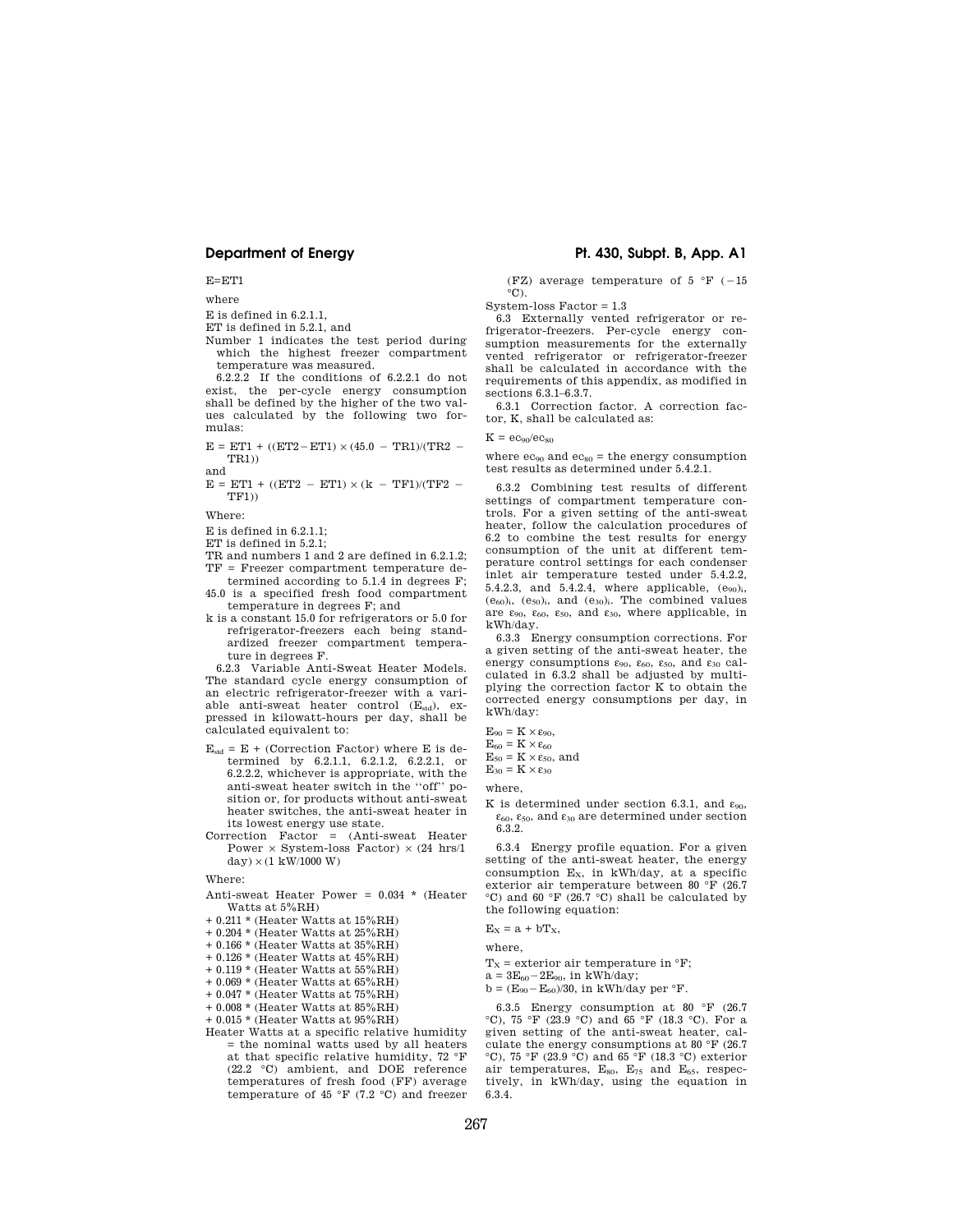E=ET1

where

E is defined in 6.2.1.1,

ET is defined in 5.2.1, and

Number 1 indicates the test period during which the highest freezer compartment temperature was measured.

6.2.2.2 If the conditions of 6.2.2.1 do not exist, the per-cycle energy consumption shall be defined by the higher of the two values calculated by the following two formulas:

 $E = ETI + ((ET2 - ET1) \times (45.0 - TR1)/(TR2 -$ TR1))

and  $E = ETI + ((ET2 - ET1) \times (k - TF1)/(TF2 -$ TF1))

Where:

E is defined in 6.2.1.1;

ET is defined in 5.2.1;

TR and numbers 1 and 2 are defined in 6.2.1.2;

TF = Freezer compartment temperature determined according to 5.1.4 in degrees F;

- 45.0 is a specified fresh food compartment temperature in degrees F; and
- k is a constant 15.0 for refrigerators or 5.0 for refrigerator-freezers each being standardized freezer compartment temperature in degrees F.

6.2.3 Variable Anti-Sweat Heater Models. The standard cycle energy consumption of an electric refrigerator-freezer with a variable anti-sweat heater control  $(E_{std})$ , expressed in kilowatt-hours per day, shall be calculated equivalent to:

 $E_{\text{std}} = E +$  (Correction Factor) where E is determined by 6.2.1.1, 6.2.1.2, 6.2.2.1, or 6.2.2.2, whichever is appropriate, with the anti-sweat heater switch in the ''off'' position or, for products without anti-sweat heater switches, the anti-sweat heater in its lowest energy use state.

Correction Factor = (Anti-sweat Heater <code>Power $\times$ System-loss Factor</code>)  $\times$  (24 <code>hrs/1</code>  $\text{dav}$   $\times$  (1 kW/1000 W)

Where:

Anti-sweat Heater Power = 0.034 \* (Heater Watts at 5%RH)

- + 0.211 \* (Heater Watts at 15%RH)
- + 0.204 \* (Heater Watts at 25%RH)
- + 0.166 \* (Heater Watts at 35%RH)
- + 0.126 \* (Heater Watts at 45%RH)
- + 0.119 \* (Heater Watts at 55%RH)
- + 0.069 \* (Heater Watts at 65%RH)
- + 0.047 \* (Heater Watts at 75%RH)
- + 0.008 \* (Heater Watts at 85%RH)

+ 0.015 \* (Heater Watts at 95%RH)

Heater Watts at a specific relative humidity = the nominal watts used by all heaters at that specific relative humidity, 72 °F (22.2 °C) ambient, and DOE reference temperatures of fresh food (FF) average temperature of 45 °F (7.2 °C) and freezer

## **Department of Energy Pt. 430, Subpt. B, App. A1**

(FZ) average temperature of 5  $\degree$ F (-15  $\mathrm{^{\circ}C}$ ).

System-loss Factor = 1.3

6.3 Externally vented refrigerator or refrigerator-freezers. Per-cycle energy consumption measurements for the externally vented refrigerator or refrigerator-freezer shall be calculated in accordance with the requirements of this appendix, as modified in sections 6.3.1–6.3.7.

6.3.1 Correction factor. A correction factor, K, shall be calculated as:

### $K = \frac{AC_{00}}{AC_{00}}$

where  $ec_{90}$  and  $ec_{80}$  = the energy consumption test results as determined under 5.4.2.1.

6.3.2 Combining test results of different settings of compartment temperature controls. For a given setting of the anti-sweat heater, follow the calculation procedures of 6.2 to combine the test results for energy consumption of the unit at different temperature control settings for each condenser inlet air temperature tested under 5.4.2.2, 5.4.2.3, and 5.4.2.4, where applicable,  $(e_{90})$ <sub>i</sub>,  $(e_{60})$ <sub>i</sub>,  $(e_{50})$ <sub>i</sub>, and  $(e_{30})$ <sub>i</sub>. The combined values are  $\varepsilon_{90}$ ,  $\varepsilon_{60}$ ,  $\varepsilon_{50}$ , and  $\varepsilon_{30}$ , where applicable, in kWh/day.

6.3.3 Energy consumption corrections. For a given setting of the anti-sweat heater, the energy consumptions  $\varepsilon_{90}$ ,  $\varepsilon_{60}$ ,  $\varepsilon_{50}$ , and  $\varepsilon_{30}$  calculated in 6.3.2 shall be adjusted by multiplying the correction factor K to obtain the corrected energy consumptions per day, in kWh/day:

 $E_{90} = K \times \varepsilon_{90}$ 

 $E_{60} = K \times \varepsilon_{60}$ 

 $E_{50} = K \times \varepsilon_{50}$ , and

 $E_{30} = K \times \varepsilon_{30}$ 

where,

K is determined under section 6.3.1, and  $\varepsilon_{90}$ ,  $\varepsilon_{60}$ ,  $\varepsilon_{50}$ , and  $\varepsilon_{30}$  are determined under section 6.3.2.

6.3.4 Energy profile equation. For a given setting of the anti-sweat heater, the energy consumption  $E_x$ , in kWh/day, at a specific exterior air temperature between 80 °F (26.7 °C) and 60 °F (26.7 °C) shall be calculated by the following equation:

 $E_x = a + bT_x$ 

where,

 $T_x$  = exterior air temperature in  ${}^{\circ}F$ ;

 $a = 3E_{60} - 2E_{90}$ , in kWh/day;

 $b = (E_{90} - E_{60})/30$ , in kWh/day per °F.

6.3.5 Energy consumption at 80 °F (26.7 °C), 75 °F (23.9 °C) and 65 °F (18.3 °C). For a given setting of the anti-sweat heater, calculate the energy consumptions at 80 °F (26.7  $\rm{°C}$ ), 75 °F (23.9  $\rm{°C}$ ) and 65  $\rm{°F}$  (18.3 °C) exterior air temperatures,  $E_{80}$ ,  $E_{75}$  and  $E_{65}$ , respectively, in kWh/day, using the equation in 6.3.4.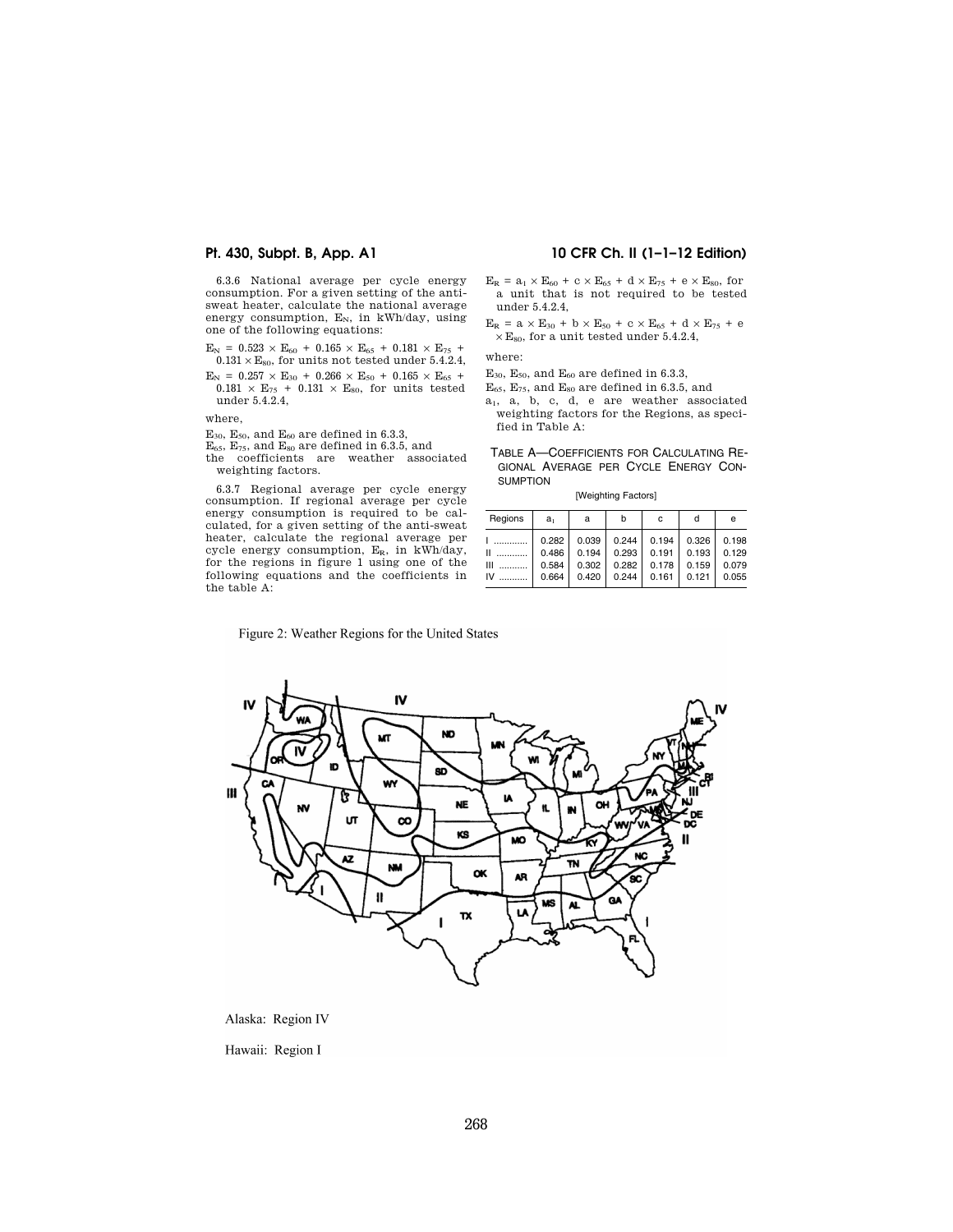6.3.6 National average per cycle energy consumption. For a given setting of the antisweat heater, calculate the national average energy consumption,  $E_N$ , in kWh/day, using one of the following equations:

- $E_N = 0.523 \times E_{60} + 0.165 \times E_{65} + 0.181 \times E_{75}$  $0.131 \times \mathrm{E}_{80},$  for units not tested under 5.4.2.4,
- $E_N$  = 0.257 × E<sub>30</sub> + 0.266 × E<sub>50</sub> + 0.165 × E<sub>65</sub> +  $0.181 \times E_{75}$  + 0.131  $\times E_{80}$ , for units tested under 5.4.2.4,

where,

- $\mathrm{E_{30},\,E_{50},}$  and  $\mathrm{E_{60}}$  are defined in 6.3.3,
- 
- $E_{65}$ ,  $E_{75}$ , and  $E_{80}$  are defined in 6.3.5, and<br>the coefficients are weather associated weighting factors.

6.3.7 Regional average per cycle energy consumption. If regional average per cycle energy consumption is required to be calculated, for a given setting of the anti-sweat heater, calculate the regional average per cycle energy consumption,  $E_R$ , in kWh/day, for the regions in figure 1 using one of the following equations and the coefficients in the table A:

# **Pt. 430, Subpt. B, App. A1 10 CFR Ch. II (1–1–12 Edition)**

- $E_R = a_1 \times E_{60} + c \times E_{65} + d \times E_{75} + e \times E_{80}$ , for a unit that is not required to be tested under 5.4.2.4,
- $E_R = a \times E_{30} + b \times E_{50} + c \times E_{65} + d \times E_{75} + e$  $\times$  E<sub>80</sub>, for a unit tested under 5.4.2.4,

where:

- $E_{30}$ ,  $E_{50}$ , and  $E_{60}$  are defined in 6.3.3,
- $E_{65}$ ,  $E_{75}$ , and  $E_{80}$  are defined in 6.3.5, and
- a1, a, b, c, d, e are weather associated weighting factors for the Regions, as specified in Table A:
- TABLE A—COEFFICIENTS FOR CALCULATING RE-GIONAL AVERAGE PER CYCLE ENERGY CON-SUMPTION

[Weighting Factors]

| Regions | a,    | a     | b     | c     | d     | е     |
|---------|-------|-------|-------|-------|-------|-------|
| .       | 0.282 | 0.039 | 0.244 | 0.194 | 0.326 | 0.198 |
| Ш       | 0.486 | 0.194 | 0.293 | 0.191 | 0.193 | 0.129 |
| Ш       | 0.584 | 0.302 | 0.282 | 0.178 | 0.159 | 0.079 |
| IV      | 0.664 | 0.420 | 0.244 | 0.161 | 0.121 | 0.055 |

Figure 2: Weather Regions for the United States



Alaska: Region IV

Hawaii: Region I